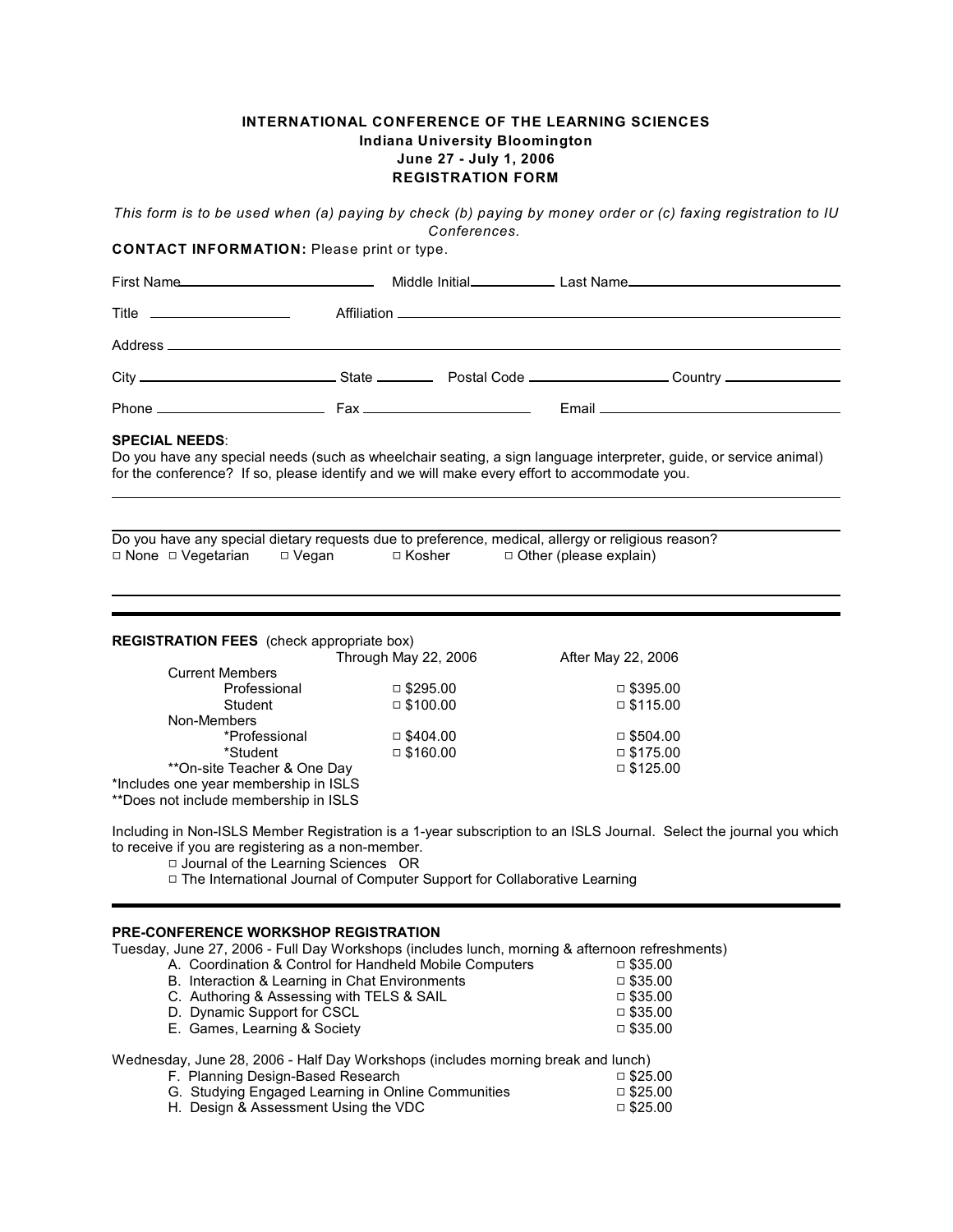## **INTERNATIONAL CONFERENCE OF THE LEARNING SCIENCES Indiana University Bloomington June 27 - July 1, 2006 REGISTRATION FORM**

*This form is to be used when (a) paying by check (b) paying by money order or (c) faxing registration to IU Conferences.* 

**CONTACT INFORMATION:** Please print or type.

| Title ____________________                                                                                                                                                                                                                 |                                |                               |                                    |  |  |  |  |  |
|--------------------------------------------------------------------------------------------------------------------------------------------------------------------------------------------------------------------------------------------|--------------------------------|-------------------------------|------------------------------------|--|--|--|--|--|
|                                                                                                                                                                                                                                            |                                |                               |                                    |  |  |  |  |  |
|                                                                                                                                                                                                                                            |                                |                               |                                    |  |  |  |  |  |
|                                                                                                                                                                                                                                            |                                |                               |                                    |  |  |  |  |  |
| <b>SPECIAL NEEDS:</b><br>Do you have any special needs (such as wheelchair seating, a sign language interpreter, guide, or service animal)<br>for the conference? If so, please identify and we will make every effort to accommodate you. |                                |                               |                                    |  |  |  |  |  |
| Do you have any special dietary requests due to preference, medical, allergy or religious reason?<br>□ None □ Vegetarian   □ Vegan     □ Kosher                                                                                            |                                | $\Box$ Other (please explain) |                                    |  |  |  |  |  |
| <b>REGISTRATION FEES</b> (check appropriate box)<br>Through May 22, 2006<br>After May 22, 2006                                                                                                                                             |                                |                               |                                    |  |  |  |  |  |
| <b>Current Members</b><br>Professional<br>Student<br>Non-Members                                                                                                                                                                           | □ $$295.00$<br>$\Box$ \$100.00 |                               | $\Box$ \$395.00<br>$\Box$ \$115.00 |  |  |  |  |  |

\*Professional 9 \$404.00 9 \$504.00 \*\*On-site Teacher & One Day \*Includes one year membership in ISLS \*\*Does not include membership in ISLS

Including in Non-ISLS Member Registration is a 1-year subscription to an ISLS Journal. Select the journal you which to receive if you are registering as a non-member.

 $\Box$  \$160.00  $\Box$  \$175.00  $\Box$  \$175.00

□ Journal of the Learning Sciences OR

9 The International Journal of Computer Support for Collaborative Learning

## **PRE-CONFERENCE WORKSHOP REGISTRATION**

Tuesday, June 27, 2006 - Full Day Workshops (includes lunch, morning & afternoon refreshments)<br>A. Coordination & Control for Handheld Mobile Computers  $\Box$  \$35.00

A. Coordination & Control for Handheld Mobile Computers  $\Box$  \$35.00 <br>B. Interaction & Learning in Chat Environments  $\Box$  \$35.00 B. Interaction & Learning in Chat Environments  $\Box$  \$35.00  $\Box$  \$35.00  $\Box$  \$35.00 C. Authoring & Assessing with TELS & SAIL  $\Box$  \$35.00  $\Box$  \$35.00 D. Dynamic Support for CSCL  $\Box$  \$35.00  $\Box$  \$35.00  $\Box$  \$35.00 E. Games, Learning & Society

Wednesday, June 28, 2006 - Half Day Workshops (includes morning break and lunch)

| F. Planning Design-Based Research                  | □ \$25.00  |
|----------------------------------------------------|------------|
| G. Studying Engaged Learning in Online Communities | □ $$25.00$ |
| H. Design & Assessment Using the VDC_              | □ \$25.00  |